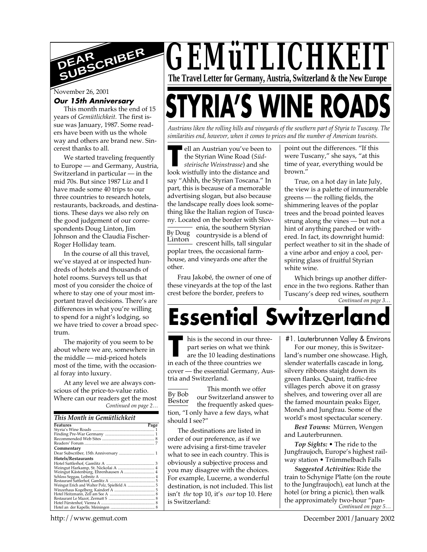

#### November 26, 2001

#### **Our 15th Anniversary**

This month marks the end of 15 years of *Gemütlichkeit.* The first issue was January, 1987. Some readers have been with us the whole way and others are brand new. Sincerest thanks to all.

We started traveling frequently to Europe — and Germany, Austria, Switzerland in particular — in the mid 70s. But since 1987 Liz and I have made some 40 trips to our three countries to research hotels, restaurants, backroads, and destinations. These days we also rely on the good judgement of our correspondents Doug Linton, Jim Johnson and the Claudia Fischer-Roger Holliday team.

In the course of all this travel, we've stayed at or inspected hundreds of hotels and thousands of hotel rooms. Surveys tell us that most of you consider the choice of where to stay one of your most important travel decisions. There's are differences in what you're willing to spend for a night's lodging, so we have tried to cover a broad spectrum.

The majority of you seem to be about where we are, somewhere in the middle — mid-priced hotels most of the time, with the occasional foray into luxury.

*Continued on page 2…* At any level we are always conscious of the price-to-value ratio. Where can our readers get the most

#### *This Month in Gemütlichkeit*

| Features                             | Page |
|--------------------------------------|------|
|                                      |      |
|                                      |      |
|                                      |      |
|                                      |      |
| Commentary                           |      |
| Dear Subscriber, 15th Anniversary  1 |      |
| Hotels/Restaurants                   |      |
|                                      |      |
|                                      |      |
|                                      |      |
|                                      |      |
|                                      |      |
|                                      |      |
|                                      |      |
|                                      |      |
|                                      |      |
|                                      |      |
|                                      |      |

*GEMüTLICHKEIT* **The Travel Letter for Germany, Austria, Switzerland & the New Europe** 

# STYRIA'S WINE ROAD

*Austrians liken the rolling hills and vineyards of the southern part of Styria to Tuscany. The similarities end, however, when it comes to prices and the number of American tourists.*

ell an Austrian you've been to the Styrian Wine Road (*Süd-*

**The Ellian Austrian you've been to the Styrian Wine Road (***Südsteirische Weinstrasse***) and she look wistfully into the distance and** By Doug Linton *steirische Weinstrasse*) and she say "Ahhh, the Styrian Toscana." In part, this is because of a memorable advertising slogan, but also because the landscape really does look something like the Italian region of Tuscany. Located on the border with Slovenia, the southern Styrian countryside is a blend of crescent hills, tall singular poplar trees, the occasional farmhouse, and vineyards one after the other.

Frau Jakobé, the owner of one of these vineyards at the top of the last crest before the border, prefers to

point out the differences. "If this were Tuscany," she says, "at this time of year, everything would be brown."

True, on a hot day in late July, the view is a palette of innumerable greens — the rolling fields, the shimmering leaves of the poplar trees and the broad pointed leaves strung along the vines — but not a hint of anything parched or withered. In fact, its downright humid: perfect weather to sit in the shade of a vine arbor and enjoy a cool, perspiring glass of fruitful Styrian white wine.

*Continued on page 3…* Which brings up another difference in the two regions. Rather than Tuscany's deep red wines, southern

## **Essential Switzerlan**d

**THE SET UP:** This is the second in our the part series on what we thin are the 10 leading destinary in each of the three countries we his is the second in our threepart series on what we think are the 10 leading destinations cover — the essential Germany, Austria and Switzerland.

By Bob Bestor This month we offer our Switzerland answer to the frequently asked question, "I only have a few days, what should I see?"

The destinations are listed in order of our preference, as if we were advising a first-time traveler what to see in each country. This is obviously a subjective process and you may disagree with the choices. For example, Lucerne, a wonderful destination, is not included. This list isn't *the* top 10, it's *our* top 10. Here is Switzerland:

#1. Lauterbrunnen Valley & Environs

For our money, this is Switzerland's number one showcase. High, slender waterfalls cascade in long, silvery ribbons staight down its green flanks. Quaint, traffic-free villages perch above it on grassy shelves, and towering over all are the famed mountain peaks Eiger, Monch and Jungfrau. Some of the world's most spectacular scenery.

*Best Towns:* Mürren, Wengen and Lauterbrunnen.

*Top Sights:* • The ride to the Jungfraujoch, Europe's highest railway station • Trümmelbach Falls

*Continued on page 5… Suggested Activities:* Ride the train to Schynige Platte (on the route to the Jungfraujoch), eat lunch at the hotel (or bring a picnic), then walk the approximately two-hour "pan-

http://www.gemut.com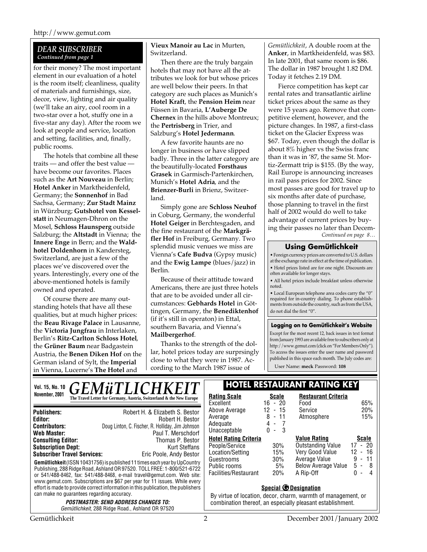#### *DEAR SUBSCRIBER Continued from page 1*

for their money? The most important element in our evaluation of a hotel is the room itself; cleanliness, quality of materials and furnishings, size, decor, view, lighting and air quality (we'll take an airy, cool room in a two-star over a hot, stuffy one in a five-star any day). After the room we look at people and service, location and setting, facilities, and, finally, public rooms.

The hotels that combine all these traits — and offer the best value have become our favorites. Places such as the **Art Nouveau** in Berlin; **Hotel Anker** in Marktheidenfeld, Germany; the **Sonnenhof** in Bad Sachsa, Germany; **Zur Stadt Mainz** in Würzburg; **Gutshotel von Kesselstatt** in Neumagen-Dhron on the Mosel, **Schloss Haunsperg** outside Salzburg; the **Altstadt** in Vienna; the **Innere Enge** in Bern; and the **Waldhotel Doldenhorn** in Kandersteg, Switzerland, are just a few of the places we've discovered over the years. Interestingly, every one of the above-mentioned hotels is family owned and operated.

Of course there are many outstanding hotels that have all these qualities, but at much higher prices: the **Beau Rivage Palace** in Lausanne, the **Victoria Jungfrau** in Interlaken, Berlin's **Ritz-Carlton Schloss Hotel**, the **Grüner Baum** near Badgastein Austria, the **Benen Diken Hof** on the German island of Sylt, the **Imperial** in Vienna, Lucerne's **The Hotel** and

**Vieux Manoir au Lac** in Murten, Switzerland.

Then there are the truly bargain hotels that may not have all the attributes we look for but whose prices are well below their peers. In that category are such places as Munich's **Hotel Kraft**, the **Pension Heim** near Füssen in Bavaria, **L'Auberge De Chernex** in the hills above Montreux; the **Pertrisberg** in Trier, and Salzburg's **Hotel Jedermann**.

A few favorite haunts are no longer in business or have slipped badly. Three in the latter category are the beautifully-located **Forsthaus Grasek** in Garmisch-Partenkirchen, Munich's **Hotel Adria**, and the **Brienzer-Burli** in Brienz, Switzerland.

Simply gone are **Schloss Neuhof** in Coburg, Germany, the wonderful **Hotel Geiger** in Berchtesgaden, and the fine restaurant of the **Markgräfler Hof** in Freiburg, Germany. Two splendid music venues we miss are Vienna's **Cafe Budva** (Gypsy music) and the **Ewig Lampe** (blues/jazz) in Berlin.

Because of their attitude toward Americans, there are just three hotels that are to be avoided under all circumstances: **Gebhards Hotel** in Göttingen, Germany, the **Benediktenhof** (if it's still in operaton) in Ettal, southern Bavaria, and Vienna's **Mailbergerhof**.

Thanks to the strength of the dollar, hotel prices today are surprsingly close to what they were in 1987. According to the March 1987 issue of

*Gemütlichkeit*, A double room at the **Anker**, in Martkheidenfeld, was \$83. In late 2001, that same room is \$86. The dollar in 1987 brought 1.82 DM. Today it fetches 2.19 DM.

Fierce competition has kept car rental rates and transatlantic airline ticket prices about the same as they were 15 years ago. Remove that competitive element, however, and the picture changes. In 1987, a first-class ticket on the Glacier Express was \$67. Today, even though the dollar is about 8% higher vs the Swiss franc than it was in '87, the same St. Mortiz-Zermatt trip is \$155. (By the way, Rail Europe is announcing increases in rail pass prices for 2002. Since most passes are good for travel up to six months after date of purchase, those planning to travel in the first half of 2002 would do well to take advantage of current prices by buying their passes no later than Decem-

*Continued on page 8…*

#### **Using Gemütlichkeit**

• Foreign currency prices are converted to U.S. dollars at the exchange rate in effect at the time of publication. • Hotel prices listed are for one night. Discounts are often available for longer stays.

• All hotel prices include breakfast unless otherwise noted.

• Local European telephone area codes carry the "0" required for in-country dialing. To phone establishments from outside the country, such as from the USA, do not dial the first "0".

#### **Logging on to Gemütlichkeit's Website**

Except for the most recent 12, back issues in text format from January 1993 are available free to subscribers only at http://www.gemut.com (click on "For Members Only"). To access the issues enter the user name and password published in this space each month. The July codes are:

User Name: **meck** Password: **108**

| <b>GEMÜTLICHKEIT</b><br>Vol. 15, No. 10                                                                                                                                                                                                                                                                                                                                                                                                                                                                                                                                                                                                                                                                                                 | <b>HOTEL RESTAURANT RATING KEY</b>                                                                                        |                                                                |                                                                                                                                                                                                                                                 |                                                                      |
|-----------------------------------------------------------------------------------------------------------------------------------------------------------------------------------------------------------------------------------------------------------------------------------------------------------------------------------------------------------------------------------------------------------------------------------------------------------------------------------------------------------------------------------------------------------------------------------------------------------------------------------------------------------------------------------------------------------------------------------------|---------------------------------------------------------------------------------------------------------------------------|----------------------------------------------------------------|-------------------------------------------------------------------------------------------------------------------------------------------------------------------------------------------------------------------------------------------------|----------------------------------------------------------------------|
| November, 2001<br>The Travel Letter for Germany, Austria, Switzerland & the New Europe                                                                                                                                                                                                                                                                                                                                                                                                                                                                                                                                                                                                                                                  | <b>Rating Scale</b><br>Excellent<br>Above Average                                                                         | <b>Scale</b><br>$16 - 20$<br>$-15$<br>12                       | <b>Restaurant Criteria</b><br>Food<br>Service                                                                                                                                                                                                   | 65%<br>20%                                                           |
| <b>Publishers:</b><br>Robert H. & Elizabeth S. Bestor<br>Robert H. Bestor<br>Editor:<br>Doug Linton, C. Fischer, R. Holliday, Jim Johnson<br><b>Contributors:</b><br><b>Web Master:</b><br>Paul T. Merschdorf                                                                                                                                                                                                                                                                                                                                                                                                                                                                                                                           | Average<br>Adequate<br>Unacceptable                                                                                       | 8<br>$-11$<br>4 -<br>$0 -$<br>- 3                              | Atmosphere                                                                                                                                                                                                                                      | 15%                                                                  |
| <b>Consulting Editor:</b><br>Thomas P. Bestor<br><b>Subscription Dept:</b><br><b>Kurt Steffans</b><br><b>Subscriber Travel Services:</b><br>Eric Poole, Andy Bestor<br><b>Gemütlichkeit</b> (ISSN 10431756) is published 11 times each year by UpCountry<br>Publishing, 288 Ridge Road, Ashland OR 97520. TOLL FREE: 1-800/521-6722<br>or 541/488-8462, fax: 541/488-8468, e-mail travel@gemut.com. Web site:<br>www.gemut.com. Subscriptions are \$67 per year for 11 issues. While every<br>effort is made to provide correct information in this publication, the publishers<br>can make no guarantees regarding accuracy.<br><i><b>POSTMASTER: SEND ADDRESS CHANGES TO:</b></i><br>Gemütlichkeit, 288 Ridge Road., Ashland OR 97520 | <b>Hotel Rating Criteria</b><br>People/Service<br>Location/Setting<br>Guestrooms<br>Public rooms<br>Facilities/Restaurant | 30%<br>15%<br>30%<br>5%<br>20%<br><b>Special © Designation</b> | <b>Value Rating</b><br>Outstanding Value<br>Very Good Value<br>Average Value<br>Below Average Value<br>A Rip-Off<br>By virtue of location, decor, charm, warmth of management, or<br>combination thereof, an especially pleasant establishment. | <b>Scale</b><br>$17 - 20$<br>$12 - 16$<br>$9 - 11$<br>5-8<br>$0 - 4$ |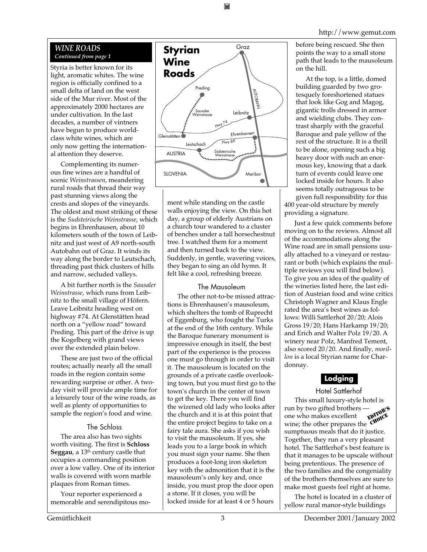Styria is better known for its light, aromatic whites. The wine region is officially confined to a small delta of land on the west side of the Mur river. Most of the approximately 2000 hectares are under cultivation. In the last decades, a number of vintners have begun to produce worldclass white wines, which are only now getting the international attention they deserve.

Complementing its numerous fine wines are a handful of scenic *Weinstrassen*, meandering rural roads that thread their way past stunning views along the crests and slopes of the vineyards. The oldest and most striking of these is the *Sudsteirische Weinstrasse*, which begins in Ehrenhausen, about 10 kilometers south of the town of Leibnitz and just west of A9 north-south Autobahn out of Graz. It winds its way along the border to Leutschach, threading past thick clusters of hills and narrow, secluded valleys.

A bit further north is the *Sausaler Weinstrasse*, which runs from Leibnitz to the small village of Höfern. Leave Leibnitz heading west on highway #74. At Glenstätten head north on a "yellow road" toward Preding. This part of the drive is up the Kogelberg with grand views over the extended plain below.

These are just two of the official routes; actually nearly all the small roads in the region contain some rewarding surprise or other. A twoday visit will provide ample time for a leisurely tour of the wine roads, as well as plenty of opportunities to sample the region's food and wine.

#### The Schloss

The area also has two sights worth visiting. The first is **Schloss** Seggau, a 13<sup>th</sup> century castle that occupies a commanding position over a low valley. One of its interior walls is covered with worn marble plaques from Roman times.

Your reporter experienced a memorable and serendipitous mo-



ment while standing on the castle walls enjoying the view. On this hot day, a group of elderly Austrians on a church tour wandered to a cluster of benches under a tall horsechestnut tree. I watched them for a moment and then turned back to the view. Suddenly, in gentle, wavering voices, they began to sing an old hymn. It felt like a cool, refreshing breeze.

#### The Mausoleum

The other not-to-be missed attractions is Ehrenhausen's mausoleum, which shelters the tomb of Ruprecht of Eggenburg, who fought the Turks at the end of the 16th century. While the Baroque funerary monument is impressive enough in itself, the best part of the experience is the process one must go through in order to visit it. The mausoleum is located on the grounds of a private castle overlooking town, but you must first go to the town's church in the center of town to get the key. There you will find the wizened old lady who looks after the church and it is at this point that the entire project begins to take on a fairy tale aura. She asks if you wish to visit the mausoleum. If yes, she leads you to a large book in which you must sign your name. She then produces a foot-long iron skeleton key with the admonition that it is the mausoleum's only key and, once inside, you must prop the door open a stone. If it closes, you will be locked inside for at least 4 or 5 hours

http://www.gemut.com

before being rescued. She then points the way to a small stone path that leads to the mausoleum on the hill.

At the top, is a little, domed building guarded by two grotesquely foreshortened statues that look like Gog and Magog, gigantic trolls dressed in armor and wielding clubs. They contrast sharply with the graceful Baroque and pale yellow of the rest of the structure. It is a thrill to be alone, opening such a big heavy door with such an enormous key, knowing that a dark turn of events could leave one locked inside for hours. It also seems totally outrageous to be given full responsibility for this

400 year-old structure by merely providing a signature.

Just a few quick comments before moving on to the reviews. Almost all of the accommodations along the Wine road are in small pensions usually attached to a vineyard or restaurant or both (which explains the multiple reviews you will find below). To give you an idea of the quality of the wineries listed here, the last edition of Austrian food and wine critics Christoph Wagner and Klaus Engle rated the area's best wines as follows: Willi Sattlerhof 20/20; Alois Gross 19/20; Hans Harkamp 19/20; and Erich and Walter Polz 19/20. A winery near Polz, Manfred Tement, also scored 20/20. And finally, *morillon* is a local Styrian name for Chardonnay.

#### **Lodging**

Hotel Sattlerhof This small luxury-style hotel is run by two gifted brothers one who makes excellent one who makes excellent<br>wine; the other prepares the CHOICE sumptuous meals that do it justice. Together, they run a very pleasant hotel. The Sattlerhof's best feature is that it manages to be upscale without being pretentious. The presence of the two families and the congeniality of the brothers themselves are sure to make most guests feel right at home. EDITOR'S

The hotel is located in a cluster of yellow rural manor-style buildings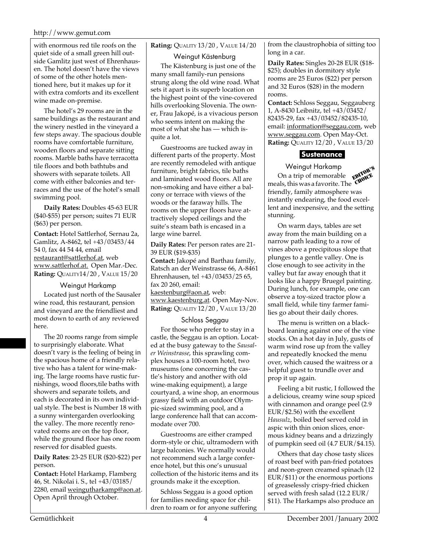#### http://www.gemut.com

with enormous red tile roofs on the quiet side of a small green hill outside Gamlitz just west of Ehrenhausen. The hotel doesn't have the views of some of the other hotels mentioned here, but it makes up for it with extra comforts and its excellent wine made on-premise.

The hotel's 29 rooms are in the same buildings as the restaurant and the winery nestled in the vineyard a few steps away. The spacious double rooms have comfortable furniture, wooden floors and separate sitting rooms. Marble baths have terracotta tile floors and both bathtubs and showers with separate toilets. All come with either balconies and terraces and the use of the hotel's small swimming pool.

**Daily Rates:** Doubles 45-63 EUR (\$40-\$55) per person; suites 71 EUR (\$63) per person.

**Contact:** Hotel Sattlerhof, Sernau 2a, Gamlitz, A-8462, tel +43/03453/44 54 0, fax 44 54 44, email restaurant@sattlerhof.at, web www.sattlerhof.at. Open Mar.-Dec. **Rating:** QUALITY14/20 , VALUE 15/20

#### Weingut Harkamp

Located just north of the Sausaler wine road, this restaurant, pension and vineyard are the friendliest and most down to earth of any reviewed here.

The 20 rooms range from simple to surprisingly elaborate. What doesn't vary is the feeling of being in the spacious home of a friendly relative who has a talent for wine-making. The large rooms have rustic furnishings, wood floors,tile baths with showers and separate toilets, and each is decorated in its own individual style. The best is Number 18 with a sunny wintergarden overlooking the valley. The more recently renovated rooms are on the top floor, while the ground floor has one room reserved for disabled guests.

**Daily Rates**: 23-25 EUR (\$20-\$22) per person.

**Contact:** Hotel Harkamp, Flamberg 46, St. Nikolai i. S., tel +43/03185/ 2280, email weingutharkamp@aon.at. Open April through October.

#### **Rating:** QUALITY 13/20 , VALUE 14/20

Weingut Kästenburg

The Kästenburg is just one of the many small family-run pensions strung along the old wine road. What sets it apart is its superb location on the highest point of the vine-covered hills overlooking Slovenia. The owner, Frau Jakopé, is a vivacious person who seems intent on making the most of what she has — which isquite a lot.

Guestrooms are tucked away in different parts of the property. Most are recently remodeled with antique furniture, bright fabrics, tile baths and laminated wood floors. All are non-smoking and have either a balcony or terrace with views of the woods or the faraway hills. The rooms on the upper floors have attractively sloped ceilings and the suite's steam bath is encased in a large wine barrel.

**Daily Rates:** Per person rates are 21- 39 EUR (\$19-\$35)

**Contact:** Jakopé and Barthau family, Ratsch an der Weinstrasse 66, A-8461 Ehrenhausen, tel +43/03453/25 65, fax 20 260, email: kaestenburg@aon.at, web: www.kaestenburg.at. Open May-Nov. **Rating:** QUALITY 12/20 , VALUE 13/20

#### Schloss Seggau

For those who prefer to stay in a castle, the Seggau is an option. Located at the busy gateway to the *Sausaler Weinstrasse*, this sprawling complex houses a 100-room hotel, two museums (one concerning the castle's history and another with old wine-making equipment), a large courtyard, a wine shop, an enormous grassy field with an outdoor Olympic-sized swimming pool, and a large conference hall that can accommodate over 700.

Guestrooms are either cramped dorm-style or chic, ultramodern with large balconies. We normally would not recommend such a large conference hotel, but this one's unusual collection of the historic items and its grounds make it the exception.

Schloss Seggau is a good option for families needing space for children to roam or for anyone suffering from the claustrophobia of sitting too long in a car.

**Daily Rates:** Singles 20-28 EUR (\$18- \$25); doubles in dormitory style rooms are 25 Euros (\$22) per person and 32 Euros (\$28) in the modern rooms.

**Contact:** Schloss Seggau, Seggauberg 1, A-8430 Leibnitz, tel +43/03452/ 82435-29, fax +43/03452/82435-10, email: information@seggau.com, web www.seggau.com. Open May-Oct. **Rating:** QUALITY 12/20 , VALUE 13/20

#### **Sustenance**

Weingut Harkamp

**EXAMPLE SUBSET OF THE SUBSET OF STAR S**<br>
On a trip of memorable **EXPORTS**<br>
Subset this was a favorite The CHORE  $\frac{1}{2}$  of memorable  $\frac{1}{2}$   $\frac{1}{2}$  meals, this was a favorite. The  $\frac{1}{2}$   $\frac{1}{2}$   $\frac{1}{2}$   $\frac{1}{2}$   $\frac{1}{2}$   $\frac{1}{2}$   $\frac{1}{2}$   $\frac{1}{2}$   $\frac{1}{2}$   $\frac{1}{2}$   $\frac{1}{2}$   $\frac{1}{2}$   $\frac{1}{2}$   $\frac{1}{2}$   $\frac{1}{$ friendly, family atmosphere was instantly endearing, the food excellent and inexpensive, and the setting stunning.

On warm days, tables are set away from the main building on a narrow path leading to a row of vines above a precipitous slope that plunges to a gentle valley. One is close enough to see activity in the valley but far away enough that it looks like a happy Bruegel painting. During lunch, for example, one can observe a toy-sized tractor plow a small field, while tiny farmer families go about their daily chores.

The menu is written on a blackboard leaning against one of the vine stocks. On a hot day in July, gusts of warm wind rose up from the valley and repeatedly knocked the menu over, which caused the waitress or a helpful guest to trundle over and prop it up again.

Feeling a bit rustic, I followed the a delicious, creamy wine soup spiced with cinnamon and orange peel (2.9 EUR/\$2.56) with the excellent *Hausulz*, boiled beef served cold in aspic with thin onion slices, enormous kidney beans and a drizzingly of pumpkin seed oil (4.7 EUR/\$4.15).

Others that day chose tasty slices of roast beef with pan-fried potatoes and neon-green creamed spinach (12 EUR/\$11) or the enormous portions of greaselessly crispy-fried chicken served with fresh salad (12.2 EUR/ \$11). The Harkamps also produce an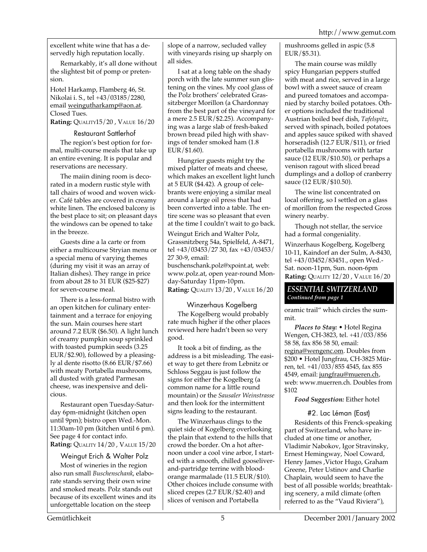excellent white wine that has a deservedly high reputation locally.

Remarkably, it's all done without the slightest bit of pomp or pretension.

Hotel Harkamp, Flamberg 46, St. Nikolai i. S., tel +43/03185/2280, email weingutharkamp@aon.at. Closed Tues.

**Rating:** QUALITY15/20 , VALUE 16/20

#### Restaurant Sattlerhof

The region's best option for formal, multi-course meals that take up an entire evening. It is popular and reservations are necessary.

The maiin dining room is decorated in a modern rustic style with tall chairs of wood and woven wicker. Café tables are covered in creamy white linen. The enclosed balcony is the best place to sit; on pleasant days the windows can be opened to take in the breeze.

Guests dine a la carte or from either a multicourse Stryian menu or a special menu of varying themes (during my visit it was an array of Italian dishes). They range in price from about 28 to 31 EUR (\$25-\$27) for seven-course meal.

There is a less-formal bistro with an open kitchen for culinary entertainment and a terrace for enjoying the sun. Main courses here start around 7.2 EUR (\$6.50). A light lunch of creamy pumpkin soup sprinkled with toasted pumpkin seeds (3.25 EUR/\$2.90), followed by a pleasingly al dente risotto (8.66 EUR/\$7.66) with meaty Portabella mushrooms, all dusted with grated Parmesan cheese, was inexpensive and delicious.

Restaurant open Tuesday-Saturday 6pm-midnight (kitchen open until 9pm); bistro open Wed.-Mon. 11:30am-10 pm (kitchen until 6 pm). See page 4 for contact info. **Rating:** QUALITY 14/20 , VALUE 15/20

Weingut Erich & Walter Polz

Most of wineries in the region also run small *Buschenschank*, elaborate stands serving their own wine and smoked meats. Polz stands out because of its excellent wines and its unforgettable location on the steep

slope of a narrow, secluded valley with vineyards rising up sharply on all sides.

I sat at a long table on the shady porch with the late summer sun glistening on the vines. My cool glass of the Polz brothers' celebrated Grassitzberger Morillon (a Chardonnay from the best part of the vineyard for a mere 2.5 EUR/\$2.25). Accompanying was a large slab of fresh-baked brown bread piled high with shavings of tender smoked ham (1.8 EUR/\$1.60).

Hungrier guests might try the mixed platter of meats and cheese, which makes an excellent light lunch at 5 EUR (\$4.42). A group of celebrants were enjoying a similar meal around a large oil press that had been converted into a table. The entire scene was so pleasant that even at the time I couldn't wait to go back.

Weingut Erich and Walter Polz, Grassnitzberg 54a, Spielfeld, A-8471, tel +43/03453/27 30, fax +43/03453/ 27 30-9, email: buschenschank.polz@xpoint.at, web: www.polz.at, open year-round Monday-Saturday 11pm-10pm.

**Rating:** QUALITY 13/20 , VALUE 16/20

Winzerhaus Kogelberg The Kogelberg would probably rate much higher if the other places reviewed here hadn't been so very good.

It took a bit of finding, as the address is a bit misleading. The easiet way to get there from Lebnitz or Schloss Seggau is just follow the signs for either the Kogelberg (a common name for a little round mountain) or the *Sausaler Weinstrasse* and then look for the intermittent signs leading to the restaurant.

The Winzerhaus clings to the quiet side of Kogelberg overlooking the plain that extend to the hills that crowd the border. On a hot afternoon under a cool vine arbor, I started with a smooth, chilled gooseliverand-partridge terrine with bloodorange marmalade (11.5 EUR/\$10). Other choices include consume with sliced crepes (2.7 EUR/\$2.40) and slices of venison and Portabella

mushrooms gelled in aspic (5.8 EUR/\$5.31).

The main course was mildly spicy Hungarian peppers stuffed with meat and rice, served in a large bowl with a sweet sauce of cream and pureed tomatoes and accompanied by starchy boiled potatoes. Other options included the traditional Austrian boiled beef dish, *Tafelspitz*, served with spinach, boiled potatoes and apples sauce spiked with shaved horseradish (12.7 EUR/\$11), or fried portabella mushrooms with tartar sauce (12 EUR/\$10.50), or perhaps a venison ragout with sliced bread dumplings and a dollop of cranberry sauce (12 EUR/\$10.50).

The wine list concentrated on local offering, so I settled on a glass of morillon from the respected Gross winery nearby.

Though not stellar, the service had a formal congeniality.

Winzerhaus Kogelberg, Kogelberg 10-11, Kaindorf an der Sulm, A-8430, tel +43/03452/83451., open Wed.- Sat. noon-11pm, Sun. noon-6pm **Rating:** QUALITY 12/20 , VALUE 16/20

#### *ESSENTIAL SWITZERLAND Continued from page 1*

oramic trail" which circles the summit.

*Places to Stay:* • Hotel Regina Wengen, CH-3823, tel. +41/033/856 58 58, fax 856 58 50, email: regina@wengenc.om. Doubles from \$200 • Hotel Jungfrau, CH-3825 Mürren, tel. +41/033/855 4545, fax 855 4549, email: jungfrau@mueren.ch, web: www.muerren.ch. Doubles from \$102

*Food Suggestion:* Either hotel

#### #2. Lac Léman (East)

Residents of this Frenck-speaking part of Switzerland, who have included at one time or another, Vladimir Nabokov, Igor Stravinsky, Ernest Hemingway, Noel Coward, Henry James ,Victor Hugo, Graham Greene, Peter Ustinov and Charlie Chaplain, would seem to have the best of all possible worlds; breathtaking scenery, a mild climate (often referred to as the "Vaud Riviera"),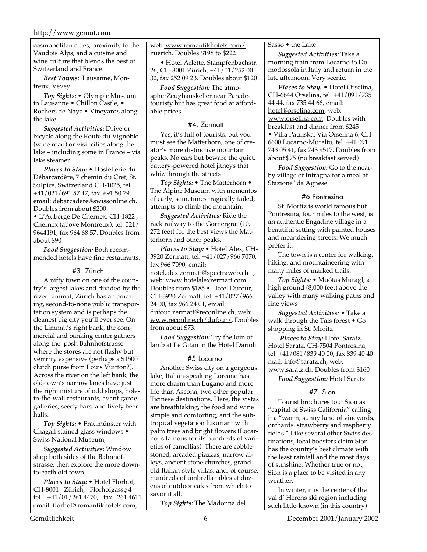cosmopolitan cities, proximity to the Vaudois Alps, and a cuisine and wine culture that blends the best of Switzerland and France.

*Best Towns:* Lausanne, Montreux, Vevey

*Top Sights:* • Olympic Museum in Lausanne • Chillon Castle, • Rochers de Naye • Vineyards along the lake.

*Suggested Activities:* Drive or bicycle along the Route du Vignoble (wine road) or visit cities along the lake – including some in France – via lake steamer.

*Places to Stay:* • Hostellerie du Débarcardère, 7 chemin du Cret, St. Sulpice, Switzerland CH-1025, tel. +41/021/691 57 47, fax 691 50 79, email: debarcadere@swissonline.ch. Doubles from about \$200 • L'Auberge De Chernex, CH-1822 , Chernex (above Montreux), tel. 021/ 9644191, fax 964 68 57. Doubles from about \$90

*Food Suggestion:* Both recommended hotels have fine restaurants.

#### #3. Zürich

A nifty town on one of the country's largest lakes and divided by the river Limmat, Zürich has an amazing, second-to-none public transportation system and is perhaps the cleanest big city you'll ever see. On the Limmat's right bank, the commercial and banking center gathers along the posh Bahnhofstrasse where the stores are not flashy but verrrrry expensive (perhaps a \$1500 clutch purse from Louis Vuitton?). Across the river on the left bank, the old-town's narrow lanes have just the right mixture of odd shops, holein-the-wall restaurants, avant garde galleries, seedy bars, and lively beer halls.

*Top Sights:* • Fraumünster with Chagall stained glass windows • Swiss National Museum,

*Suggested Activities:* Window shop both sides of the Bahnhofstrasse, then explore the more downto-earth old town.

*Places to Stay:* • Hotel Florhof, CH-8001 Zürich, Florhofgasse 4**,** tel. +41/01/261 4470, fax 261 4611, email: florhof@romantikhotels.com,

web: www.romantikhotels.com/ zuerich. Doubles \$198 to \$222

• Hotel Arlette, Stampfenbachstr. 26, CH-8001 Zürich, +41/01/252 00 32, fax 252 09 23. Doubles about \$120

*Food Suggestion:* The atmospherZeughauskeller near Paradetouristy but has great food at affordable prices.

#### #4. Zermatt

Yes, it's full of tourists, but you must see the Matterhorn, one of creator's more distinctive mountain peaks. No cars but beware the quiet, battery-powered hotel jitneys that whiz through the streets

*Top Sights:* • The Matterhorn • The Alpine Museum with mementos of early, sometimes tragically failed, attempts to climb the mountain.

*Suggested Activities:* Ride the rack railway to the Gornergrat (10, 272 feet) for the best views the Matterhorn and other peaks.

*Places to Stay:* • Hotel Alex, CH-3920 Zermatt, tel. +41/027/966 7070, fax 966 7090, email: hotel.alex.zermatt@spectraweb.ch , web: www.hotelalexzermatt.com. Doubles from \$185 • Hotel Dufour, CH-3920 Zermatt, tel. +41/027/966 24 00, fax 966 24 01, email: dufour.zermatt@reconline.ch, web: www.reconline.ch/dufour/. Doubles from about \$73.

*Food Suggestion:* Try the loin of lamb at Le Gitan in the Hotel Darioli.

#### #5 Locarno

Another Swiss city on a gorgeous lake, Italian-speaking Lorcano has more charm than Lugano and more life than Ascona, two other popular Ticinese destinations. Here, the vistas are breathtaking, the food and wine simple and comforting, and the subtropical vegetation luxuriant with palm trees and bright flowers (Locarno is famous for its hundreds of varieties of camellias). There are cobblestoned, arcaded piazzas, narrow alleys, ancient stone churches, grand old Italian-style villas, and, of course, hundreds of umbrella tables at dozens of outdoor cafes from which to savor it all.

*Top Sights:* The Madonna del

#### Sasso • the Lake

*Suggested Activities:* Take a morning train from Locarno to Domodossola in Italy and return in the late afternoon. Very scenic.

*Places to Stay:* • Hotel Orselina, CH-6644 Orselina, tel. +41/091/735 44 44, fax 735 44 66, email: hotel@orselina.com, web: www.orselina.com. Doubles with breakfast and dinner from \$245 • Villa Pauliska, Via Orselina 6, CH-6600 Locarno-Muralto, tel. +41 091 743 05 41, fax 743 9517. Doubles from about \$75 (no breakfast served)

*Food Suggestion:* Go to the nearby village of Intragna for a meal at Stazione "da Agnese"

#### #6 Pontresina

St. Mortiz is world famous but Pontresina, four miles to the west, is an authentic Engadine village in a beautiful setting with painted houses and meandering streets. We much prefer it.

The town is a center for walking, hiking, and mountaineering with many miles of marked trails.

*Top Sights:* • Muótas Muragl, a high ground (8,000 feet) above the valley with many walking paths and fine views

*Suggested Activities:* • Take a walk through the Tais forest • Go shopping in St. Moritz

 *Places to Stay:* Hotel Saratz, Hotel Saratz, CH-7504 Pontresina, tel. +41/081/839 40 00, fax 839 40 40 mail: info@saratz.ch, web: www.saratz.ch. Doubles from \$160

*Food Suggestion:* Hotel Saratz

#### #7. Sion

Tourist brochures tout Sion as "capital of Swiss California" calling it a "warm, sunny land of vineyards, orchards, strawberry and raspberry fields." Like several other Swiss destinations, local boosters claim Sion has the country's best climate with the least rainfall and the most days of sunshine. Whether true or not, Sion is a place to be visited in any weather.

In winter, it is the center of the val d' Herens ski region including such little-known (in this country)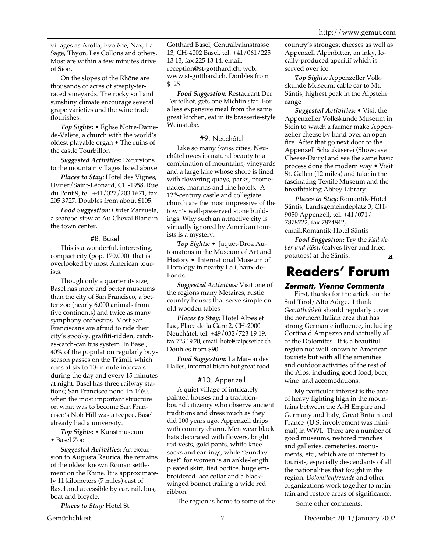villages as Arolla, Evolène, Nax, La Sage, Thyon, Les Collons and others. Most are within a few minutes drive of Sion.

On the slopes of the Rhône are thousands of acres of steeply-terraced vineyards. The rocky soil and sunshiny climate encourage several grape varieties and the wine trade flourishes.

*Top Sights:* • Église Notre-Damede-Valère, a church with the world's oldest playable organ • The ruins of the castle Tourbillon

*Suggested Activities:* Excursions to the mountain villages listed above

*Places to Stay:* Hotel des Vignes, Uvrier/Saint-Léonard, CH-1958, Rue du Pont 9, tel. +41/027/203 1671, fax 205 3727. Doubles from about \$105.

*Food Suggestion:* Order Zarzuela, a seafood stew at Au Cheval Blanc in the town center.

#### #8. Basel

This is a wonderful, interesting, compact city (pop. 170,000) that is overlooked by most American tourists.

Though only a quarter its size, Basel has more and better museums than the city of San Francisco, a better zoo (nearly 6,000 animals from five continents) and twice as many symphony orchestras. Most San Franciscans are afraid to ride their city's spooky, graffiti-ridden, catchas-catch-can bus system. In Basel, 40% of the population regularly buys season passes on the Trämli, which runs at six to 10-minute intervals during the day and every 15 minutes at night. Basel has three railway stations; San Francisco none. In 1460, when the most important structure on what was to become San Francisco's Nob Hill was a teepee, Basel already had a university.

*Top Sights:* • Kunstmuseum • Basel Zoo

*Suggested Activities:* An excursion to Augusta Raurica, the remains of the oldest known Roman settlement on the Rhine. It is approximately 11 kilometers (7 miles) east of Basel and accessible by car, rail, bus, boat and bicycle.

*Places to Stay:* Hotel St.

Gotthard Basel, Centralbahnstrasse 13, CH-4002 Basel, tel. +41/061/225 13 13, fax 225 13 14, email: reception@st-gotthard.ch, web: www.st-gotthard.ch. Doubles from \$125

*Food Suggestion:* Restaurant Der Teufelhof, gets one Michlin star. For a less expensive meal from the same great kitchen, eat in its brasserie-style Weinstube.

#### #9. Neuchâtel

Like so many Swiss cities, Neuchâtel owes its natural beauty to a combination of mountains, vineyards and a large lake whose shore is lined with flowering quays, parks, promenades, marinas and fine hotels. A 12<sup>th</sup>-century castle and collegiate church are the most impressive of the town's well-preserved stone buildings. Why such an attractive city is virtually ignored by American tourists is a mystery.

*Top Sights:* • Jaquet-Droz Automatons in the Museum of Art and History • International Museum of Horology in nearby La Chaux-de-Fonds.

*Suggested Activities:* Visit one of the regions many Metaires, rustic country houses that serve simple on old wooden tables

*Places to Stay:* Hotel Alpes et Lac, Place de la Gare 2, CH-2000 Neuchâtel, tel. +49/032/723 19 19, fax 723 19 20, email: hotel@alpesetlac.ch. Doubles from \$90

*Food Suggestion:* La Maison des Halles, informal bistro but great food.

#### #10. Appenzell

A quiet village of intricately painted houses and a traditionbound citizenry who observe ancient traditions and dress much as they did 100 years ago, Appenzell drips with country charm. Men wear black hats decorated with flowers, bright red vests, gold pants, white knee socks and earrings, while "Sunday best" for women is an ankle-length pleated skirt, tied bodice, huge embroidered lace collar and a blackwinged bonnet trailing a wide red ribbon.

The region is home to some of the

country's strongest cheeses as well as Appenzell Alpenbitter, an inky, locally-produced aperitif which is served over ice.

*Top Sights:* Appenzeller Volkskunde Museum; cable car to Mt. Säntis, highest peak in the Alpstein range

*Suggested Activities:* • Visit the Appenzeller Volkskunde Museum in Stein to watch a farmer make Appenzeller cheese by hand over an open fire. After that go next door to the Appenzell Schaukäserei (Showcase Cheese-Dairy) and see the same basic process done the modern way • Visit St. Gallen (12 miles) and take in the fascinating Textile Museum and the breathtaking Abbey Library.

*Places to Stay:* Romantik-Hotel Säntis, Landsgemeindeplatz 3, CH-9050 Appenzell, tel. +41/071/ 7878722, fax 7874842, email:Romantik-Hotel Säntis

*Food Suggestion:* Try the *Kalbsleber und Rösti* (calves liver and fried potatoes) at the Säntis. $\overline{\mathbf{M}}$ 

### **Readers' Forum**

#### **Zermatt, Vienna Comments**

First, thanks for the article on the Sud Tirol/Alto Adige. I think *Gemütlichkeit* should regularly cover the northern Italian area that has strong Germanic influence, including Cortina d'Ampezzo and virtually all of the Dolomites. It is a beautiful region not well known to American tourists but with all the amenities and outdoor activities of the rest of the Alps, including good food, beer, wine and accomodations.

My particular interest is the area of heavy fighting high in the mountains between the A-H Empire and Germany and Italy, Great Britain and France (U.S. involvement was minimal) in WWI. There are a number of good museums, restored trenches and galleries, cemeteries, monuments, etc., which are of interest to tourists, especially descendants of all the nationalities that fought in the region. *Dolomitenfreunde* and other organizations work together to maintain and restore areas of significance.

Some other comments: